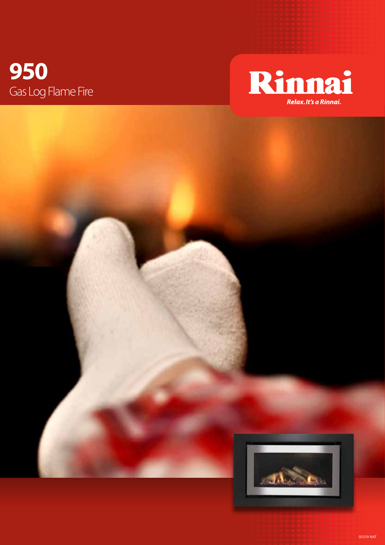## 950 Gas Log Flame Fire





05319 NAT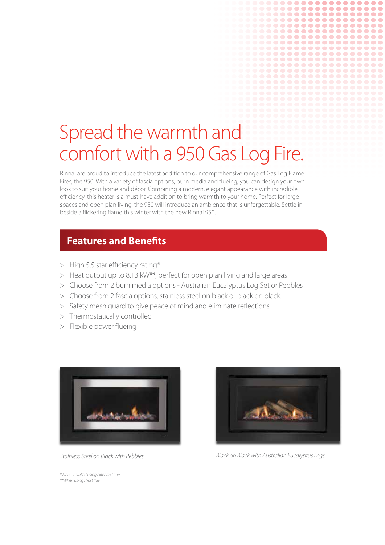# Spread the warmth and comfort with a 950 Gas Log Fire.

Rinnai are proud to introduce the latest addition to our comprehensive range of Gas Log Flame Fires, the 950. With a variety of fascia options, burn media and flueing, you can design your own look to suit your home and décor. Combining a modern, elegant appearance with incredible efficiency, this heater is a must-have addition to bring warmth to your home. Perfect for large spaces and open plan living, the 950 will introduce an ambience that is unforgettable. Settle in beside a flickering flame this winter with the new Rinnai 950.

### **Features and Benefits**

- > High 5.5 star efficiency rating\*
- > Heat output up to 8.13 kW\*\*, perfect for open plan living and large areas
- > Choose from 2 burn media options Australian Eucalyptus Log Set or Pebbles
- > Choose from 2 fascia options, stainless steel on black or black on black.
- > Safety mesh guard to give peace of mind and eliminate reflections
- > Thermostatically controlled
- > Flexible power flueing



*Stainless Steel on Black with Pebbles*



.........  $0 0 0 0 0 0 0 0 0 0$ ........ ......... ........ . . . . . . . . . . . . . -----------............ -------**............** 

*Black on Black with Australian Eucalyptus Logs*

*\*When installed using extended flue \*\*When using short flue*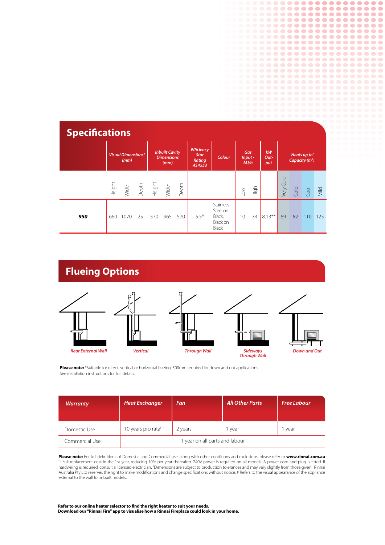| <b>Specifications</b> |                                              |                          |                                                    |        |                                                             |        |                          |                                                                    |                   |                                  |           |           |      |         |             |
|-----------------------|----------------------------------------------|--------------------------|----------------------------------------------------|--------|-------------------------------------------------------------|--------|--------------------------|--------------------------------------------------------------------|-------------------|----------------------------------|-----------|-----------|------|---------|-------------|
|                       | <b>Visual Dimensions<sup>#</sup></b><br>(mm) |                          | <b>Inbuilt Cavity</b><br><b>Dimensions</b><br>(mm) |        | <b>Efficiency</b><br><b>Star</b><br><b>Rating</b><br>AS4553 | Colour | Gas<br>$Input -$<br>MJ/h |                                                                    | kW<br>Out-<br>put | 'Heats up to'<br>Capacity $(m2)$ |           |           |      |         |             |
|                       |                                              | Height<br>Width<br>Depth |                                                    | Height | Width                                                       | Depth  |                          |                                                                    | $_{\text{LOW}}$   | High                             |           | Very Cold | Cold | $C$ ool | <b>Mild</b> |
| 950                   | 660                                          | 1070                     | 25                                                 | 570    | 965                                                         | 570    | $5.5*$                   | <b>Stainless</b><br>Steel on<br>Black,<br>Black on<br><b>Black</b> | 10                | 34                               | $8.13***$ | 69        | 82   | 110     | 125         |

### **Flueing Options**









 $0 0 0 0 0 0 0 0 0 0 0$ 

..............

............

.............. .............

...........

**...........** 

................ ------

.................. **................** ..................

 $\bullet$ 

 $\bullet\bullet$ 

 $\bullet$   $\bullet$ 

 $\overline{\phantom{a}}$ 

 $\overline{\phantom{a}}$ 

 $\overline{\phantom{a}}$ 

 $\blacksquare$  $\blacksquare$ 

 $\bullet$  $\blacksquare$  $\blacksquare$ 

**Please note:** \*Suitable for direct, vertical or horizontal flueing. 500mm required for down and out applications. See installation instructions for full details.

| <b>Warranty</b> | <b>Heat Exchanger</b>            | Fan     | <b>All Other Parts</b> | <b>Free Labour</b> |  |  |  |
|-----------------|----------------------------------|---------|------------------------|--------------------|--|--|--|
| Domestic Use    | 10 years pro rata <sup>(1)</sup> | 2 years | year                   | year               |  |  |  |
| Commercial Use  | 1 year on all parts and labour   |         |                        |                    |  |  |  |

**Please note:** For full definitions of Domestic and Commercial use, along with other conditions and exclusions, please refer to **www.rinnai.com.au**<br><sup>(1)</sup> Full replacement cost in the 1st year, reducing 10% per year thereaf hardwiring is required, consult a licensed electrician. #Dimensions are subject to production tolerances and may vary slightly from those given. Rinnai Australia Pty Ltd reserves the right to make modifications and change specifications without notice. # Refers to the visual appearance of the appliance external to the wall for inbuilt models.

**Refer to our online heater selector to find the right heater to suit your needs. Download our "Rinnai Fire" app to visualise how a Rinnai Fireplace could look in your home.**